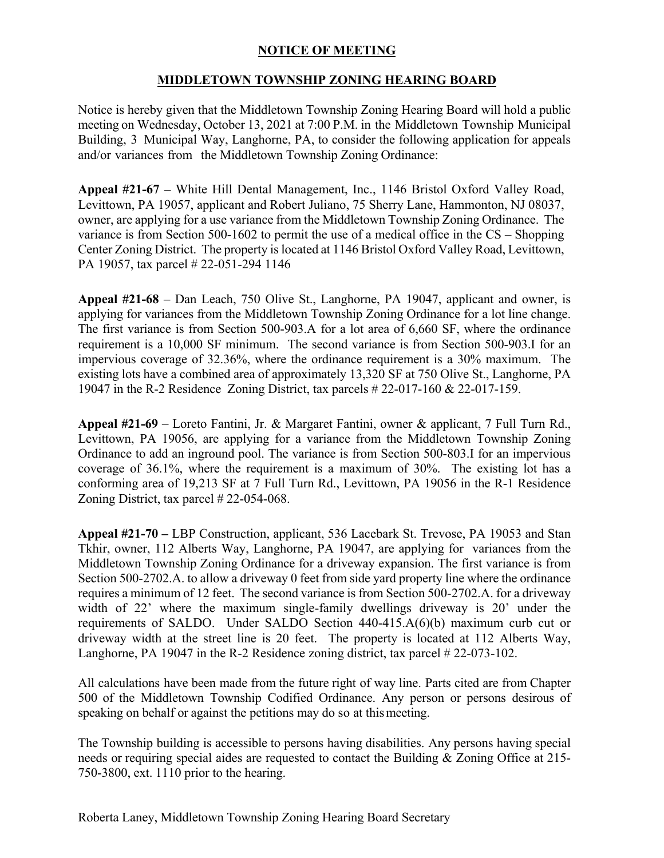## **NOTICE OF MEETING**

## **MIDDLETOWN TOWNSHIP ZONING HEARING BOARD**

Notice is hereby given that the Middletown Township Zoning Hearing Board will hold a public meeting on Wednesday, October 13, 2021 at 7:00 P.M. in the Middletown Township Municipal Building, 3 Municipal Way, Langhorne, PA, to consider the following application for appeals and/or variances from the Middletown Township Zoning Ordinance:

**Appeal #21-67 –** White Hill Dental Management, Inc., 1146 Bristol Oxford Valley Road, Levittown, PA 19057, applicant and Robert Juliano, 75 Sherry Lane, Hammonton, NJ 08037, owner, are applying for a use variance from the Middletown Township Zoning Ordinance. The variance is from Section 500-1602 to permit the use of a medical office in the CS – Shopping Center Zoning District. The property is located at 1146 Bristol Oxford Valley Road, Levittown, PA 19057, tax parcel # 22-051-294 1146

**Appeal #21-68** *–* Dan Leach, 750 Olive St., Langhorne, PA 19047, applicant and owner, is applying for variances from the Middletown Township Zoning Ordinance for a lot line change. The first variance is from Section 500-903.A for a lot area of 6,660 SF, where the ordinance requirement is a 10,000 SF minimum. The second variance is from Section 500-903.I for an impervious coverage of 32.36%, where the ordinance requirement is a 30% maximum. The existing lots have a combined area of approximately 13,320 SF at 750 Olive St., Langhorne, PA 19047 in the R-2 Residence Zoning District, tax parcels # 22-017-160 & 22-017-159.

**Appeal #21-69** – Loreto Fantini, Jr. & Margaret Fantini, owner & applicant, 7 Full Turn Rd., Levittown, PA 19056, are applying for a variance from the Middletown Township Zoning Ordinance to add an inground pool. The variance is from Section 500-803.I for an impervious coverage of 36.1%, where the requirement is a maximum of 30%. The existing lot has a conforming area of 19,213 SF at 7 Full Turn Rd., Levittown, PA 19056 in the R-1 Residence Zoning District, tax parcel # 22-054-068.

**Appeal #21-70 –** LBP Construction, applicant, 536 Lacebark St. Trevose, PA 19053 and Stan Tkhir, owner, 112 Alberts Way, Langhorne, PA 19047, are applying for variances from the Middletown Township Zoning Ordinance for a driveway expansion. The first variance is from Section 500-2702.A. to allow a driveway 0 feet from side yard property line where the ordinance requires a minimum of 12 feet. The second variance is from Section 500-2702.A. for a driveway width of 22' where the maximum single-family dwellings driveway is 20' under the requirements of SALDO. Under SALDO Section 440-415.A(6)(b) maximum curb cut or driveway width at the street line is 20 feet. The property is located at 112 Alberts Way, Langhorne, PA 19047 in the R-2 Residence zoning district, tax parcel # 22-073-102.

All calculations have been made from the future right of way line. Parts cited are from Chapter 500 of the Middletown Township Codified Ordinance. Any person or persons desirous of speaking on behalf or against the petitions may do so at this meeting.

The Township building is accessible to persons having disabilities. Any persons having special needs or requiring special aides are requested to contact the Building & Zoning Office at 215- 750-3800, ext. 1110 prior to the hearing.